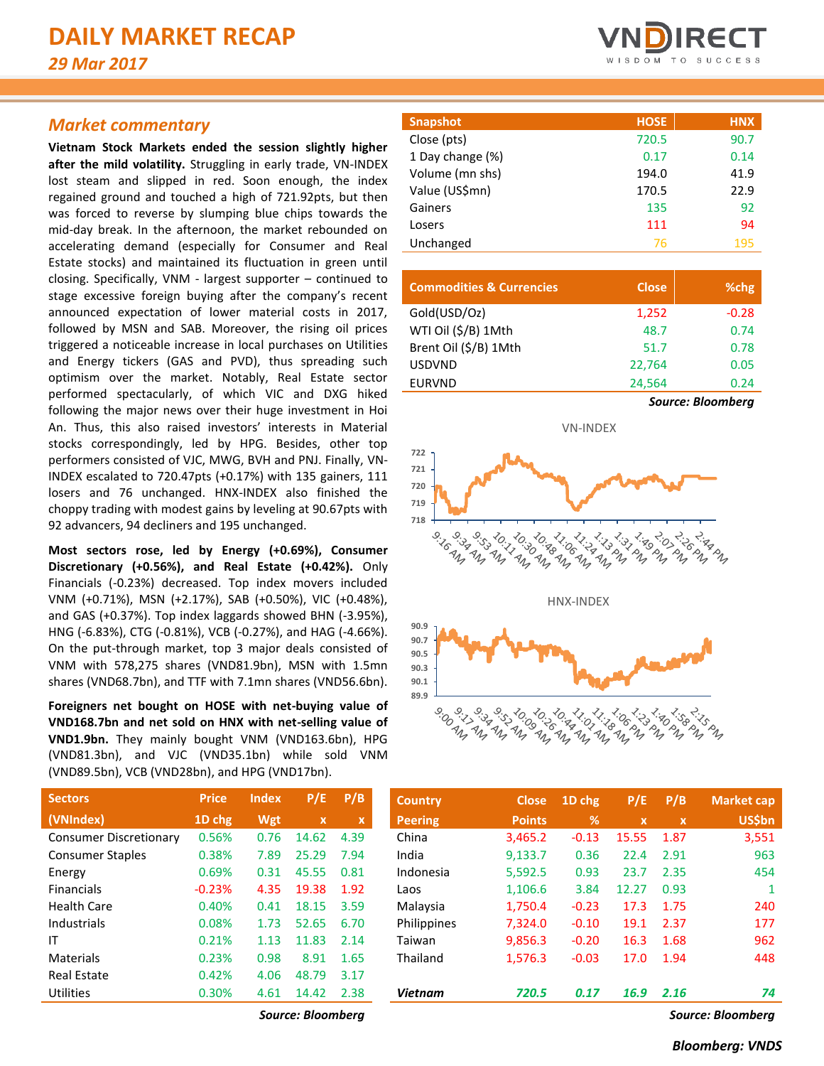# *Market commentary*

**Vietnam Stock Markets ended the session slightly higher after the mild volatility.** Struggling in early trade, VN-INDEX lost steam and slipped in red. Soon enough, the index regained ground and touched a high of 721.92pts, but then was forced to reverse by slumping blue chips towards the mid-day break. In the afternoon, the market rebounded on accelerating demand (especially for Consumer and Real Estate stocks) and maintained its fluctuation in green until closing. Specifically, VNM - largest supporter – continued to stage excessive foreign buying after the company's recent announced expectation of lower material costs in 2017, followed by MSN and SAB. Moreover, the rising oil prices triggered a noticeable increase in local purchases on Utilities and Energy tickers (GAS and PVD), thus spreading such optimism over the market. Notably, Real Estate sector performed spectacularly, of which VIC and DXG hiked following the major news over their huge investment in Hoi An. Thus, this also raised investors' interests in Material stocks correspondingly, led by HPG. Besides, other top performers consisted of VJC, MWG, BVH and PNJ. Finally, VN-INDEX escalated to 720.47pts (+0.17%) with 135 gainers, 111 losers and 76 unchanged. HNX-INDEX also finished the choppy trading with modest gains by leveling at 90.67pts with 92 advancers, 94 decliners and 195 unchanged.

**Most sectors rose, led by Energy (+0.69%), Consumer Discretionary (+0.56%), and Real Estate (+0.42%).** Only Financials (-0.23%) decreased. Top index movers included VNM (+0.71%), MSN (+2.17%), SAB (+0.50%), VIC (+0.48%), and GAS (+0.37%). Top index laggards showed BHN (-3.95%), HNG (-6.83%), CTG (-0.81%), VCB (-0.27%), and HAG (-4.66%). On the put-through market, top 3 major deals consisted of VNM with 578,275 shares (VND81.9bn), MSN with 1.5mn shares (VND68.7bn), and TTF with 7.1mn shares (VND56.6bn).

**Foreigners net bought on HOSE with net-buying value of VND168.7bn and net sold on HNX with net-selling value of VND1.9bn.** They mainly bought VNM (VND163.6bn), HPG (VND81.3bn), and VJC (VND35.1bn) while sold VNM (VND89.5bn), VCB (VND28bn), and HPG (VND17bn).

| <b>VNDIRECT</b> |  |  |                   |  |  |  |  |  |  |
|-----------------|--|--|-------------------|--|--|--|--|--|--|
|                 |  |  | WISDOM TO SUCCESS |  |  |  |  |  |  |

| <b>Snapshot</b>  | <b>HOSE</b> | <b>HNX</b> |
|------------------|-------------|------------|
| Close (pts)      | 720.5       | 90.7       |
| 1 Day change (%) | 0.17        | 0.14       |
| Volume (mn shs)  | 194.0       | 41.9       |
| Value (US\$mn)   | 170.5       | 22.9       |
| Gainers          | 135         | 92         |
| Losers           | 111         | 94         |
| Unchanged        | 76          | 195        |

| <b>Commodities &amp; Currencies</b> | <b>Close</b> | %chg                     |
|-------------------------------------|--------------|--------------------------|
| Gold(USD/Oz)                        | 1,252        | $-0.28$                  |
| WTI Oil (\$/B) 1Mth                 | 48.7         | 0.74                     |
| Brent Oil (\$/B) 1Mth               | 51.7         | 0.78                     |
| <b>USDVND</b>                       | 22,764       | 0.05                     |
| <b>EURVND</b>                       | 24,564       | 0.24                     |
|                                     |              | <b>Source: Bloomberg</b> |



| <b>Sectors</b>                | <b>Price</b> | Index | P/E                       | P/B                       | <b>Country</b> | <b>Close</b>  | 1D chg  | P/E          | P/B         | <b>Market cap</b> |
|-------------------------------|--------------|-------|---------------------------|---------------------------|----------------|---------------|---------|--------------|-------------|-------------------|
| (VNIndex)                     | 1D chg       | Wgt   | $\boldsymbol{\mathsf{x}}$ | $\boldsymbol{\mathsf{x}}$ | <b>Peering</b> | <b>Points</b> | %       | $\mathbf{x}$ | $\mathbf x$ | <b>US\$bn</b>     |
| <b>Consumer Discretionary</b> | 0.56%        | 0.76  | 14.62                     | 4.39                      | China          | 3,465.2       | $-0.13$ | 15.55        | 1.87        | 3,551             |
| <b>Consumer Staples</b>       | 0.38%        | 7.89  | 25.29                     | 7.94                      | India          | 9,133.7       | 0.36    | 22.4         | 2.91        | 963               |
| Energy                        | 0.69%        | 0.31  | 45.55                     | 0.81                      | Indonesia      | 5,592.5       | 0.93    | 23.7         | 2.35        | 454               |
| <b>Financials</b>             | $-0.23%$     | 4.35  | 19.38                     | 1.92                      | Laos           | 1,106.6       | 3.84    | 12.27        | 0.93        |                   |
| <b>Health Care</b>            | 0.40%        | 0.41  | 18.15                     | 3.59                      | Malaysia       | 1,750.4       | $-0.23$ | 17.3         | 1.75        | 240               |
| Industrials                   | 0.08%        | 1.73  | 52.65                     | 6.70                      | Philippines    | 7.324.0       | $-0.10$ | 19.1         | 2.37        | 177               |
| IT                            | 0.21%        | 1.13  | 11.83                     | 2.14                      | Taiwan         | 9,856.3       | $-0.20$ | 16.3         | 1.68        | 962               |
| <b>Materials</b>              | 0.23%        | 0.98  | 8.91                      | 1.65                      | Thailand       | 1,576.3       | $-0.03$ | 17.0         | 1.94        | 448               |
| <b>Real Estate</b>            | 0.42%        | 4.06  | 48.79                     | 3.17                      |                |               |         |              |             |                   |
| Utilities                     | 0.30%        | 4.61  | 14.42                     | 2.38                      | <b>Vietnam</b> | 720.5         | 0.17    | 16.9         | 2.16        | 74                |

*Source: Bloomberg Source: Bloomberg*

|          | <b>Index</b> | P/E.        | P/B                       | <b>Country</b> | <b>Close</b>  | 1D chg        | P/E         | P/B          | Market cap    |
|----------|--------------|-------------|---------------------------|----------------|---------------|---------------|-------------|--------------|---------------|
| 1D chg   | Wgt          | $\mathbf x$ | $\boldsymbol{\mathsf{x}}$ | <b>Peering</b> | <b>Points</b> | $\frac{9}{6}$ | $\mathbf x$ | $\mathbf{x}$ | <b>US\$bn</b> |
| 0.56%    | 0.76         | 14.62       | 4.39                      | China          | 3,465.2       | $-0.13$       | 15.55       | 1.87         | 3,551         |
| 0.38%    | 7.89         | 25.29       | 7.94                      | India          | 9,133.7       | 0.36          | 22.4        | 2.91         | 963           |
| 0.69%    | 0.31         | 45.55       | 0.81                      | Indonesia      | 5,592.5       | 0.93          | 23.7        | 2.35         | 454           |
| $-0.23%$ | 4.35         | 19.38       | 1.92                      | Laos           | 1,106.6       | 3.84          | 12.27       | 0.93         |               |
| 0.40%    | 0.41         | 18.15       | 3.59                      | Malaysia       | 1,750.4       | $-0.23$       | 17.3        | 1.75         | 240           |
| 0.08%    | 1.73         | 52.65       | 6.70                      | Philippines    | 7,324.0       | $-0.10$       | 19.1        | 2.37         | 177           |
| 0.21%    | 1.13         | 11.83       | 2.14                      | Taiwan         | 9,856.3       | $-0.20$       | 16.3        | 1.68         | 962           |
| 0.23%    | 0.98         | 8.91        | 1.65                      | Thailand       | 1,576.3       | $-0.03$       | 17.0        | 1.94         | 448           |
| 0.42%    | 4.06         | 48.79       | 3.17                      |                |               |               |             |              |               |
| 0.30%    | 4.61         | 14.42       | 2.38                      | <b>Vietnam</b> | 720.5         | 0.17          | 16.9        | 2.16         | 74            |
|          | <b>Price</b> |             |                           |                |               |               |             |              |               |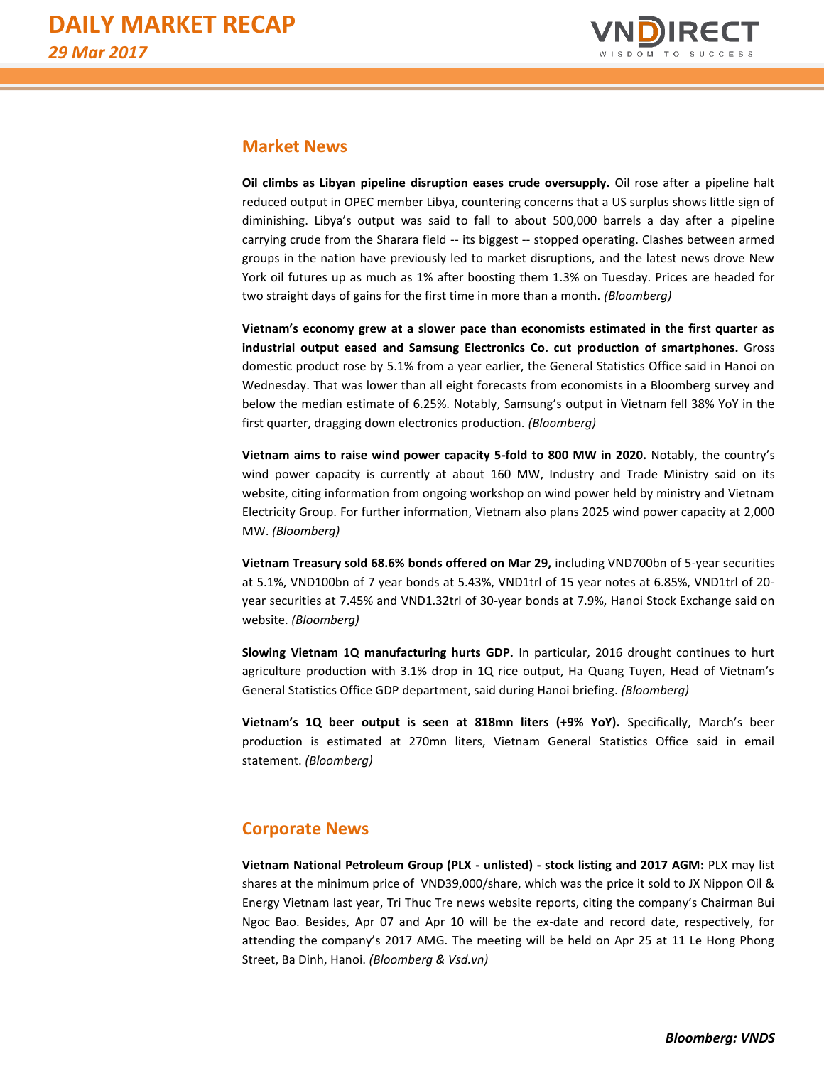

# **Market News**

**Oil climbs as Libyan pipeline disruption eases crude oversupply.** Oil rose after a pipeline halt reduced output in OPEC member Libya, countering concerns that a US surplus shows little sign of diminishing. Libya's output was said to fall to about 500,000 barrels a day after a pipeline carrying crude from the Sharara field -- its biggest -- stopped operating. Clashes between armed groups in the nation have previously led to market disruptions, and the latest news drove New York oil futures up as much as 1% after boosting them 1.3% on Tuesday. Prices are headed for two straight days of gains for the first time in more than a month. *(Bloomberg)*

**Vietnam's economy grew at a slower pace than economists estimated in the first quarter as industrial output eased and Samsung Electronics Co. cut production of smartphones.** Gross domestic product rose by 5.1% from a year earlier, the General Statistics Office said in Hanoi on Wednesday. That was lower than all eight forecasts from economists in a Bloomberg survey and below the median estimate of 6.25%. Notably, Samsung's output in Vietnam fell 38% YoY in the first quarter, dragging down electronics production. *(Bloomberg)*

**Vietnam aims to raise wind power capacity 5-fold to 800 MW in 2020.** Notably, the country's wind power capacity is currently at about 160 MW, Industry and Trade Ministry said on its website, citing information from ongoing workshop on wind power held by ministry and Vietnam Electricity Group. For further information, Vietnam also plans 2025 wind power capacity at 2,000 MW. *(Bloomberg)*

**Vietnam Treasury sold 68.6% bonds offered on Mar 29,** including VND700bn of 5-year securities at 5.1%, VND100bn of 7 year bonds at 5.43%, VND1trl of 15 year notes at 6.85%, VND1trl of 20 year securities at 7.45% and VND1.32trl of 30-year bonds at 7.9%, Hanoi Stock Exchange said on website. *(Bloomberg)*

**Slowing Vietnam 1Q manufacturing hurts GDP.** In particular, 2016 drought continues to hurt agriculture production with 3.1% drop in 1Q rice output, Ha Quang Tuyen, Head of Vietnam's General Statistics Office GDP department, said during Hanoi briefing. *(Bloomberg)*

**Vietnam's 1Q beer output is seen at 818mn liters (+9% YoY).** Specifically, March's beer production is estimated at 270mn liters, Vietnam General Statistics Office said in email statement. *(Bloomberg)*

# **Corporate News**

**Vietnam National Petroleum Group (PLX - unlisted) - stock listing and 2017 AGM:** PLX may list shares at the minimum price of VND39,000/share, which was the price it sold to JX Nippon Oil & Energy Vietnam last year, Tri Thuc Tre news website reports, citing the company's Chairman Bui Ngoc Bao. Besides, Apr 07 and Apr 10 will be the ex-date and record date, respectively, for attending the company's 2017 AMG. The meeting will be held on Apr 25 at 11 Le Hong Phong Street, Ba Dinh, Hanoi. *(Bloomberg & Vsd.vn)*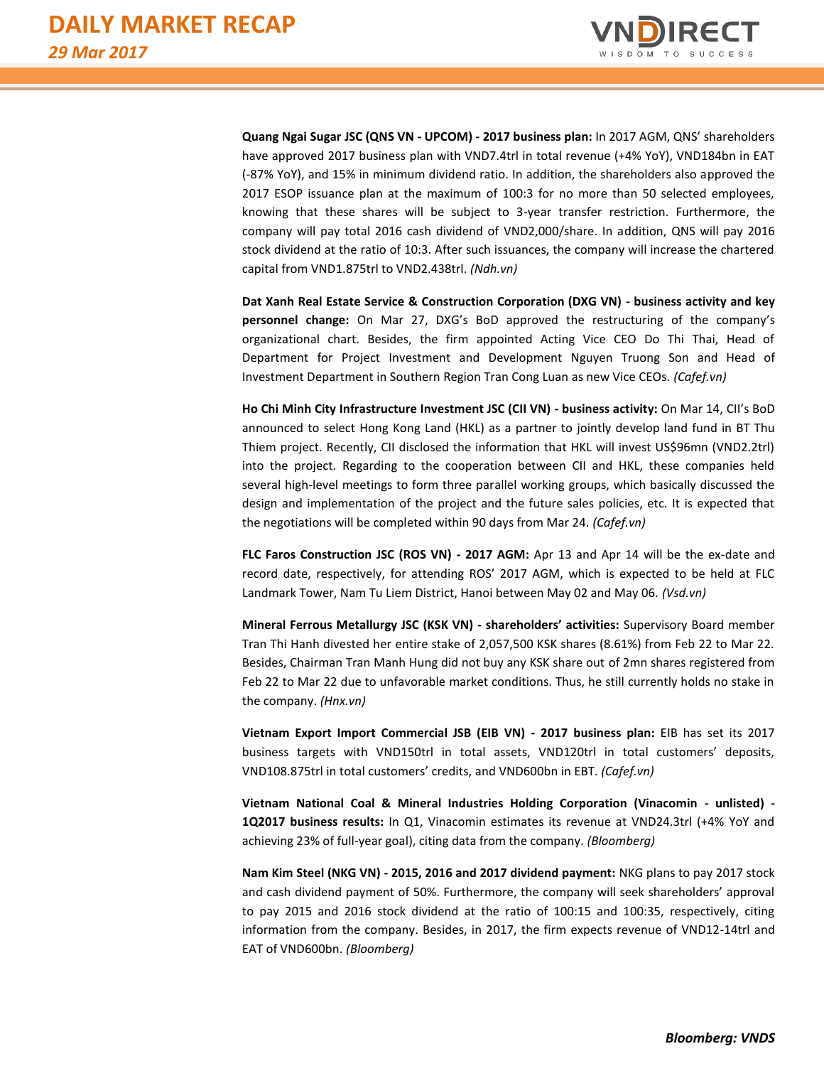

**Quang Ngai Sugar JSC (QNS VN - UPCOM) - 2017 business plan:** In 2017 AGM, QNS' shareholders have approved 2017 business plan with VND7.4trl in total revenue (+4% YoY), VND184bn in EAT (-87% YoY), and 15% in minimum dividend ratio. In addition, the shareholders also approved the 2017 ESOP issuance plan at the maximum of 100:3 for no more than 50 selected employees, knowing that these shares will be subject to 3-year transfer restriction. Furthermore, the company will pay total 2016 cash dividend of VND2,000/share. In addition, QNS will pay 2016 stock dividend at the ratio of 10:3. After such issuances, the company will increase the chartered capital from VND1.875trl to VND2.438trl. *(Ndh.vn)*

**Dat Xanh Real Estate Service & Construction Corporation (DXG VN) - business activity and key personnel change:** On Mar 27, DXG's BoD approved the restructuring of the company's organizational chart. Besides, the firm appointed Acting Vice CEO Do Thi Thai, Head of Department for Project Investment and Development Nguyen Truong Son and Head of Investment Department in Southern Region Tran Cong Luan as new Vice CEOs. *(Cafef.vn)*

**Ho Chi Minh City Infrastructure Investment JSC (CII VN) - business activity:** On Mar 14, CII's BoD announced to select Hong Kong Land (HKL) as a partner to jointly develop land fund in BT Thu Thiem project. Recently, CII disclosed the information that HKL will invest US\$96mn (VND2.2trl) into the project. Regarding to the cooperation between CII and HKL, these companies held several high-level meetings to form three parallel working groups, which basically discussed the design and implementation of the project and the future sales policies, etc. It is expected that the negotiations will be completed within 90 days from Mar 24. *(Cafef.vn)*

FLC Faros Construction JSC (ROS VN) - 2017 AGM: Apr 13 and Apr 14 will be the ex-date and record date, respectively, for attending ROS' 2017 AGM, which is expected to be held at FLC Landmark Tower, Nam Tu Liem District, Hanoi between May 02 and May 06. *(Vsd.vn)*

**Mineral Ferrous Metallurgy JSC (KSK VN) - shareholders' activities:** Supervisory Board member Tran Thi Hanh divested her entire stake of 2,057,500 KSK shares (8.61%) from Feb 22 to Mar 22. Besides, Chairman Tran Manh Hung did not buy any KSK share out of 2mn shares registered from Feb 22 to Mar 22 due to unfavorable market conditions. Thus, he still currently holds no stake in the company. *(Hnx.vn)*

**Vietnam Export Import Commercial JSB (EIB VN) - 2017 business plan:** EIB has set its 2017 business targets with VND150trl in total assets, VND120trl in total customers' deposits, VND108.875trl in total customers' credits, and VND600bn in EBT. *(Cafef.vn)*

**Vietnam National Coal & Mineral Industries Holding Corporation (Vinacomin - unlisted) - 1Q2017 business results:** In Q1, Vinacomin estimates its revenue at VND24.3trl (+4% YoY and achieving 23% of full-year goal), citing data from the company. *(Bloomberg)*

**Nam Kim Steel (NKG VN) - 2015, 2016 and 2017 dividend payment:** NKG plans to pay 2017 stock and cash dividend payment of 50%. Furthermore, the company will seek shareholders' approval to pay 2015 and 2016 stock dividend at the ratio of 100:15 and 100:35, respectively, citing information from the company. Besides, in 2017, the firm expects revenue of VND12-14trl and EAT of VND600bn. *(Bloomberg)*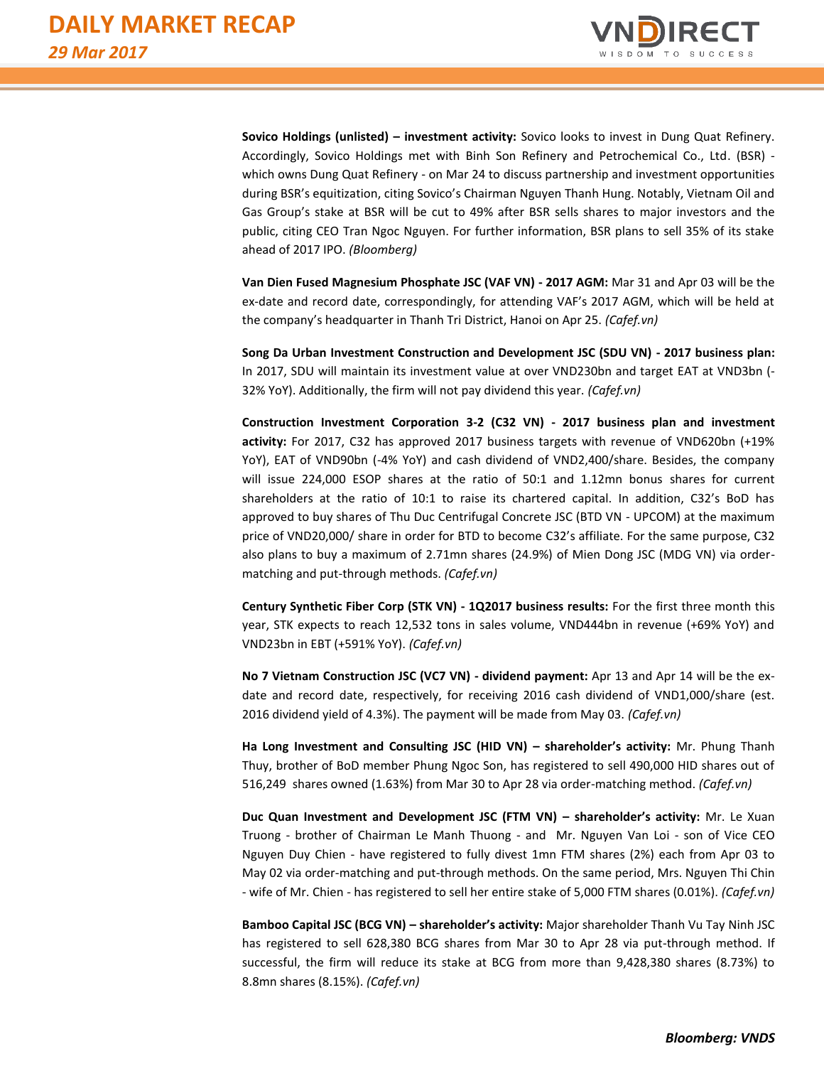

**Sovico Holdings (unlisted) – investment activity:** Sovico looks to invest in Dung Quat Refinery. Accordingly, Sovico Holdings met with Binh Son Refinery and Petrochemical Co., Ltd. (BSR) which owns Dung Quat Refinery - on Mar 24 to discuss partnership and investment opportunities during BSR's equitization, citing Sovico's Chairman Nguyen Thanh Hung. Notably, Vietnam Oil and Gas Group's stake at BSR will be cut to 49% after BSR sells shares to major investors and the public, citing CEO Tran Ngoc Nguyen. For further information, BSR plans to sell 35% of its stake ahead of 2017 IPO. *(Bloomberg)*

**Van Dien Fused Magnesium Phosphate JSC (VAF VN) - 2017 AGM:** Mar 31 and Apr 03 will be the ex-date and record date, correspondingly, for attending VAF's 2017 AGM, which will be held at the company's headquarter in Thanh Tri District, Hanoi on Apr 25. *(Cafef.vn)*

**Song Da Urban Investment Construction and Development JSC (SDU VN) - 2017 business plan:** In 2017, SDU will maintain its investment value at over VND230bn and target EAT at VND3bn (- 32% YoY). Additionally, the firm will not pay dividend this year. *(Cafef.vn)*

**Construction Investment Corporation 3-2 (C32 VN) - 2017 business plan and investment activity:** For 2017, C32 has approved 2017 business targets with revenue of VND620bn (+19% YoY), EAT of VND90bn (-4% YoY) and cash dividend of VND2,400/share. Besides, the company will issue 224,000 ESOP shares at the ratio of 50:1 and 1.12mn bonus shares for current shareholders at the ratio of 10:1 to raise its chartered capital. In addition, C32's BoD has approved to buy shares of Thu Duc Centrifugal Concrete JSC (BTD VN - UPCOM) at the maximum price of VND20,000/ share in order for BTD to become C32's affiliate. For the same purpose, C32 also plans to buy a maximum of 2.71mn shares (24.9%) of Mien Dong JSC (MDG VN) via ordermatching and put-through methods. *(Cafef.vn)* 

**Century Synthetic Fiber Corp (STK VN) - 1Q2017 business results:** For the first three month this year, STK expects to reach 12,532 tons in sales volume, VND444bn in revenue (+69% YoY) and VND23bn in EBT (+591% YoY). *(Cafef.vn)* 

**No 7 Vietnam Construction JSC (VC7 VN) - dividend payment:** Apr 13 and Apr 14 will be the exdate and record date, respectively, for receiving 2016 cash dividend of VND1,000/share (est. 2016 dividend yield of 4.3%). The payment will be made from May 03. *(Cafef.vn)*

**Ha Long Investment and Consulting JSC (HID VN) – shareholder's activity:** Mr. Phung Thanh Thuy, brother of BoD member Phung Ngoc Son, has registered to sell 490,000 HID shares out of 516,249 shares owned (1.63%) from Mar 30 to Apr 28 via order-matching method. *(Cafef.vn)*

**Duc Quan Investment and Development JSC (FTM VN) – shareholder's activity:** Mr. Le Xuan Truong - brother of Chairman Le Manh Thuong - and Mr. Nguyen Van Loi - son of Vice CEO Nguyen Duy Chien - have registered to fully divest 1mn FTM shares (2%) each from Apr 03 to May 02 via order-matching and put-through methods. On the same period, Mrs. Nguyen Thi Chin - wife of Mr. Chien - has registered to sell her entire stake of 5,000 FTM shares (0.01%). *(Cafef.vn)*

**Bamboo Capital JSC (BCG VN) – shareholder's activity:** Major shareholder Thanh Vu Tay Ninh JSC has registered to sell 628,380 BCG shares from Mar 30 to Apr 28 via put-through method. If successful, the firm will reduce its stake at BCG from more than 9,428,380 shares (8.73%) to 8.8mn shares (8.15%). *(Cafef.vn)*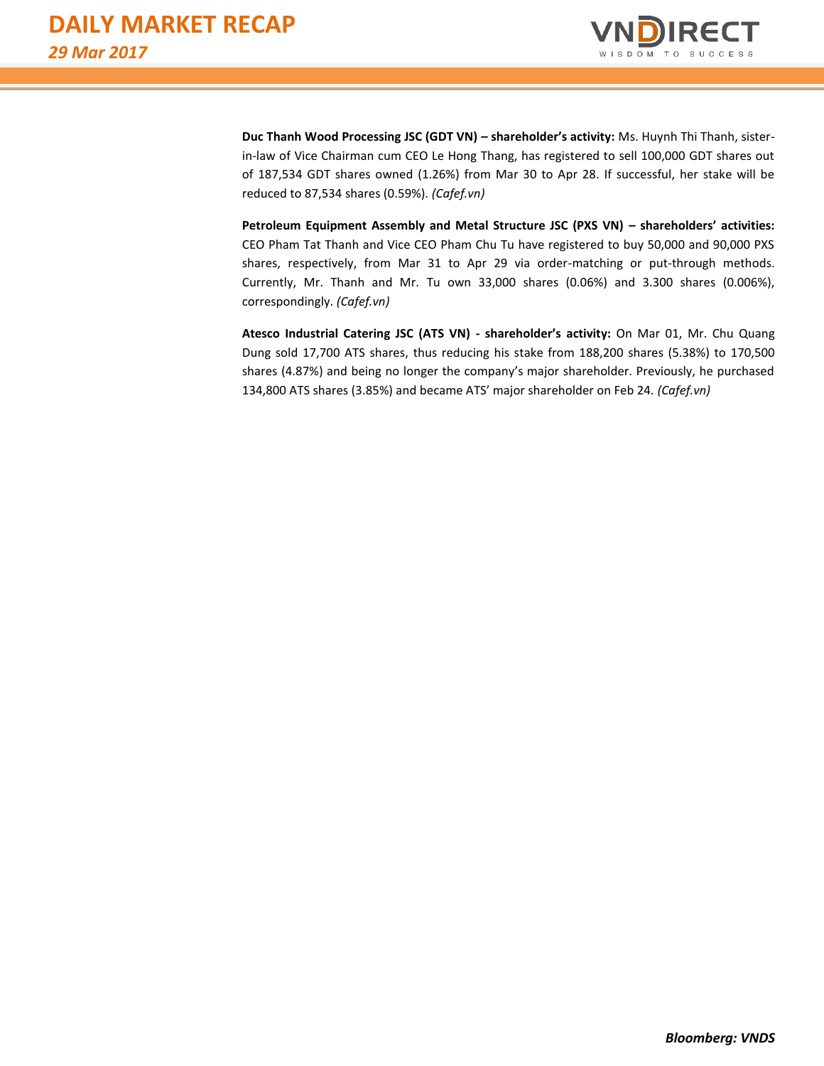

**Duc Thanh Wood Processing JSC (GDT VN) – shareholder's activity:** Ms. Huynh Thi Thanh, sisterin-law of Vice Chairman cum CEO Le Hong Thang, has registered to sell 100,000 GDT shares out of 187,534 GDT shares owned (1.26%) from Mar 30 to Apr 28. If successful, her stake will be reduced to 87,534 shares (0.59%). *(Cafef.vn)*

**Petroleum Equipment Assembly and Metal Structure JSC (PXS VN) – shareholders' activities:** CEO Pham Tat Thanh and Vice CEO Pham Chu Tu have registered to buy 50,000 and 90,000 PXS shares, respectively, from Mar 31 to Apr 29 via order-matching or put-through methods. Currently, Mr. Thanh and Mr. Tu own 33,000 shares (0.06%) and 3.300 shares (0.006%), correspondingly. *(Cafef.vn)*

**Atesco Industrial Catering JSC (ATS VN) - shareholder's activity:** On Mar 01, Mr. Chu Quang Dung sold 17,700 ATS shares, thus reducing his stake from 188,200 shares (5.38%) to 170,500 shares (4.87%) and being no longer the company's major shareholder. Previously, he purchased 134,800 ATS shares (3.85%) and became ATS' major shareholder on Feb 24. *(Cafef.vn)*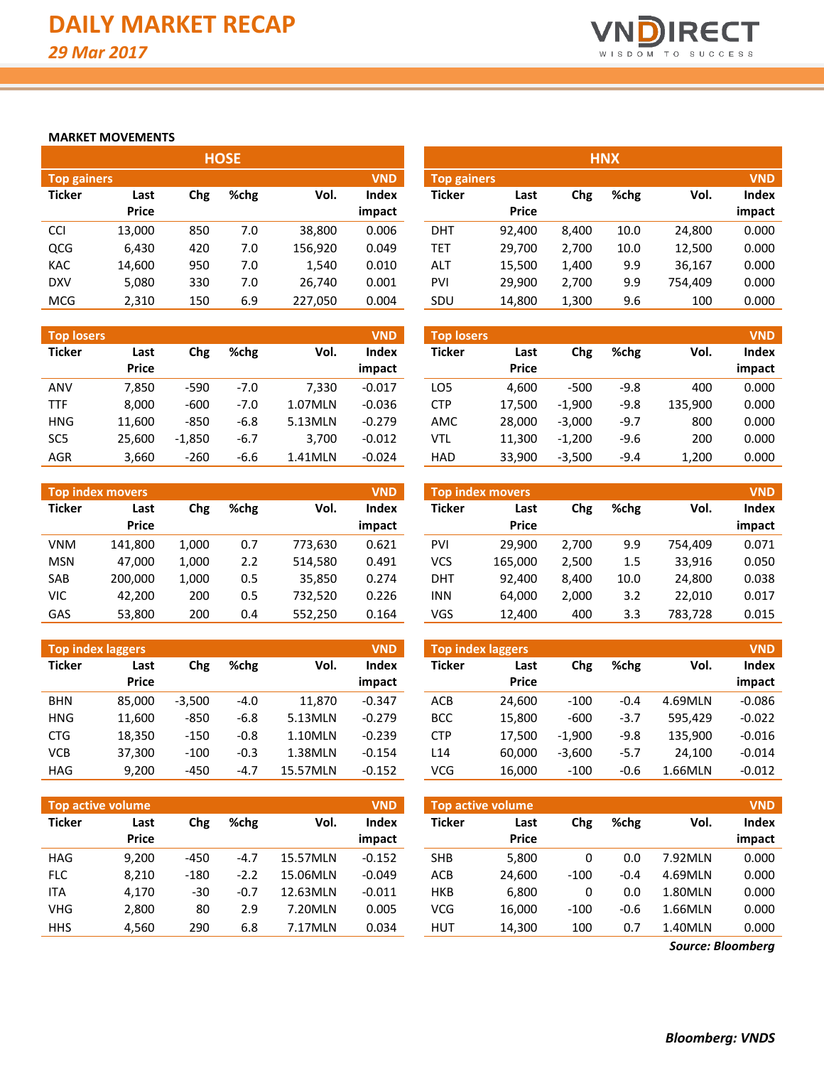

## **MARKET MOVEMENTS**

|                    |              |     | <b>HOSE</b> |         |            | <b>HNX</b>         |              |       |      |         |            |  |  |
|--------------------|--------------|-----|-------------|---------|------------|--------------------|--------------|-------|------|---------|------------|--|--|
| <b>Top gainers</b> |              |     |             |         | <b>VND</b> | <b>Top gainers</b> |              |       |      |         | <b>VND</b> |  |  |
| <b>Ticker</b>      | Last         | Chg | $%$ chg     | Vol.    | Index      | <b>Ticker</b>      | Last         | Chg   | %chg | Vol.    | Index      |  |  |
|                    | <b>Price</b> |     |             |         | impact     |                    | <b>Price</b> |       |      |         | impact     |  |  |
| <b>CCI</b>         | 13,000       | 850 | 7.0         | 38,800  | 0.006      | <b>DHT</b>         | 92.400       | 8.400 | 10.0 | 24,800  | 0.000      |  |  |
| QCG                | 6,430        | 420 | 7.0         | 156,920 | 0.049      | TET                | 29,700       | 2,700 | 10.0 | 12,500  | 0.000      |  |  |
| <b>KAC</b>         | 14,600       | 950 | 7.0         | 1.540   | 0.010      | ALT                | 15,500       | 1,400 | 9.9  | 36,167  | 0.000      |  |  |
| <b>DXV</b>         | 5,080        | 330 | 7.0         | 26.740  | 0.001      | PVI                | 29.900       | 2,700 | 9.9  | 754,409 | 0.000      |  |  |
| <b>MCG</b>         | 2,310        | 150 | 6.9         | 227,050 | 0.004      | SDU                | 14,800       | 1,300 | 9.6  | 100     | 0.000      |  |  |

| <b>Top losers</b> |                      |          |        |         | <b>VND</b>             | <b>Top losers</b> |                      |          |        |         | <b>VND</b>      |
|-------------------|----------------------|----------|--------|---------|------------------------|-------------------|----------------------|----------|--------|---------|-----------------|
| <b>Ticker</b>     | Last<br><b>Price</b> | Chg      | %chg   | Vol.    | <b>Index</b><br>impact | Ticker            | Last<br><b>Price</b> | Chg      | %chg   | Vol.    | Index<br>impact |
| <b>ANV</b>        | 7.850                | $-590$   | $-7.0$ | 7.330   | $-0.017$               | LO5               | 4,600                | $-500$   | $-9.8$ | 400     | 0.000           |
| <b>TTF</b>        | 8,000                | $-600$   | $-7.0$ | 1.07MLN | $-0.036$               | <b>CTP</b>        | 17.500               | $-1.900$ | $-9.8$ | 135,900 | 0.000           |
| <b>HNG</b>        | 11,600               | $-850$   | $-6.8$ | 5.13MLN | $-0.279$               | AMC               | 28,000               | $-3,000$ | $-9.7$ | 800     | 0.000           |
| SC <sub>5</sub>   | 25,600               | $-1,850$ | $-6.7$ | 3.700   | $-0.012$               | <b>VTL</b>        | 11,300               | $-1,200$ | $-9.6$ | 200     | 0.000           |
| <b>AGR</b>        | 3,660                | $-260$   | $-6.6$ | 1.41MLN | $-0.024$               | <b>HAD</b>        | 33.900               | $-3,500$ | $-9.4$ | 1,200   | 0.000           |

|               | Top index movers |       |      |         | <b>VND</b>   | <b>VND</b><br>Top index movers |              |       |      |         |        |  |
|---------------|------------------|-------|------|---------|--------------|--------------------------------|--------------|-------|------|---------|--------|--|
| <b>Ticker</b> | Last             | Chg   | %chg | Vol.    | <b>Index</b> | <b>Ticker</b>                  | Last         | Chg   | %chg | Vol.    | Index  |  |
|               | <b>Price</b>     |       |      |         | impact       |                                | <b>Price</b> |       |      |         | impact |  |
| <b>VNM</b>    | 141.800          | 1,000 | 0.7  | 773.630 | 0.621        | PVI                            | 29.900       | 2.700 | 9.9  | 754.409 | 0.071  |  |
| <b>MSN</b>    | 47.000           | 1.000 | 2.2  | 514.580 | 0.491        | VCS                            | 165.000      | 2.500 | 1.5  | 33,916  | 0.050  |  |
| SAB           | 200.000          | 1,000 | 0.5  | 35,850  | 0.274        | DHT                            | 92.400       | 8.400 | 10.0 | 24,800  | 0.038  |  |
| VIC           | 42.200           | 200   | 0.5  | 732,520 | 0.226        | <b>INN</b>                     | 64.000       | 2.000 | 3.2  | 22,010  | 0.017  |  |
| GAS           | 53,800           | 200   | 0.4  | 552,250 | 0.164        | VGS                            | 12,400       | 400   | 3.3  | 783,728 | 0.015  |  |

| <b>Top index laggers</b> |                      |          |        |          | <b>VND</b>      | <b>VND</b><br>Top index laggers |                      |          |        |         |                 |  |
|--------------------------|----------------------|----------|--------|----------|-----------------|---------------------------------|----------------------|----------|--------|---------|-----------------|--|
| <b>Ticker</b>            | Last<br><b>Price</b> | Chg      | %chg   | Vol.     | Index<br>impact | <b>Ticker</b>                   | Last<br><b>Price</b> | Chg      | %chg   | Vol.    | Index<br>impact |  |
| <b>BHN</b>               | 85.000               | $-3.500$ | $-4.0$ | 11,870   | $-0.347$        | <b>ACB</b>                      | 24.600               | $-100$   | $-0.4$ | 4.69MLN | $-0.086$        |  |
| <b>HNG</b>               | 11.600               | $-850$   | $-6.8$ | 5.13MLN  | $-0.279$        | <b>BCC</b>                      | 15.800               | $-600$   | $-3.7$ | 595.429 | $-0.022$        |  |
| <b>CTG</b>               | 18,350               | $-150$   | $-0.8$ | 1.10MLN  | $-0.239$        | <b>CTP</b>                      | 17.500               | $-1.900$ | $-9.8$ | 135.900 | $-0.016$        |  |
| <b>VCB</b>               | 37,300               | $-100$   | $-0.3$ | 1.38MLN  | $-0.154$        | L14                             | 60.000               | $-3,600$ | $-5.7$ | 24.100  | $-0.014$        |  |
| <b>HAG</b>               | 9,200                | $-450$   | $-4.7$ | 15.57MLN | $-0.152$        | <b>VCG</b>                      | 16,000               | $-100$   | $-0.6$ | 1.66MLN | $-0.012$        |  |

| Top active volume |                      |        |        |          | <b>VND</b>             | <b>VND</b><br><b>Top active volume</b> |                      |        |        |         |                 |  |
|-------------------|----------------------|--------|--------|----------|------------------------|----------------------------------------|----------------------|--------|--------|---------|-----------------|--|
| <b>Ticker</b>     | Last<br><b>Price</b> | Chg    | %chg   | Vol.     | <b>Index</b><br>impact | <b>Ticker</b>                          | Last<br><b>Price</b> | Chg    | %chg   | Vol.    | Index<br>impact |  |
| <b>HAG</b>        | 9.200                | $-450$ | $-4.7$ | 15.57MLN | $-0.152$               | <b>SHB</b>                             | 5,800                | 0      | 0.0    | 7.92MLN | 0.000           |  |
| FLC               | 8,210                | $-180$ | $-2.2$ | 15.06MLN | $-0.049$               | ACB                                    | 24,600               | $-100$ | $-0.4$ | 4.69MLN | 0.000           |  |
| ITA               | 4.170                | $-30$  | $-0.7$ | 12.63MLN | $-0.011$               | <b>HKB</b>                             | 6.800                | 0      | 0.0    | 1.80MLN | 0.000           |  |
| <b>VHG</b>        | 2,800                | 80     | 2.9    | 7.20MLN  | 0.005                  | <b>VCG</b>                             | 16,000               | $-100$ | $-0.6$ | 1.66MLN | 0.000           |  |
| <b>HHS</b>        | 4,560                | 290    | 6.8    | 7.17MLN  | 0.034                  | <b>HUT</b>                             | 14,300               | 100    | 0.7    | 1.40MLN | 0.000           |  |

|                                  | <b>HNX</b> |       |      |         |        |  |  |  |  |  |  |  |  |
|----------------------------------|------------|-------|------|---------|--------|--|--|--|--|--|--|--|--|
| <b>VND</b><br><b>Top gainers</b> |            |       |      |         |        |  |  |  |  |  |  |  |  |
| <b>Ticker</b>                    | Last       | Chg   | %chg | Vol.    | Index  |  |  |  |  |  |  |  |  |
|                                  | Price      |       |      |         | impact |  |  |  |  |  |  |  |  |
| DHT                              | 92,400     | 8,400 | 10.0 | 24,800  | 0.000  |  |  |  |  |  |  |  |  |
| <b>TET</b>                       | 29,700     | 2,700 | 10.0 | 12,500  | 0.000  |  |  |  |  |  |  |  |  |
| ALT                              | 15,500     | 1,400 | 9.9  | 36,167  | 0.000  |  |  |  |  |  |  |  |  |
| PVI                              | 29,900     | 2,700 | 9.9  | 754,409 | 0.000  |  |  |  |  |  |  |  |  |
| SDU                              | 14,800     | 1,300 | 9.6  | 100     | 0.000  |  |  |  |  |  |  |  |  |

| <b>Top losers</b> |                      |          |        |         | <b>VND</b>      |
|-------------------|----------------------|----------|--------|---------|-----------------|
| <b>Ticker</b>     | Last<br><b>Price</b> | Chg      | %chg   | Vol.    | Index<br>impact |
| LO <sub>5</sub>   | 4,600                | $-500$   | $-9.8$ | 400     | 0.000           |
| <b>CTP</b>        | 17,500               | $-1,900$ | $-9.8$ | 135,900 | 0.000           |
| <b>AMC</b>        | 28,000               | $-3,000$ | $-9.7$ | 800     | 0.000           |
| VTL               | 11,300               | $-1,200$ | $-9.6$ | 200     | 0.000           |
| HAD               | 33,900               | $-3,500$ | $-9.4$ | 1,200   | 0.000           |

| <b>Top index movers</b> |              |       |      |         |              |  |  |  |  |  |  |  |  |
|-------------------------|--------------|-------|------|---------|--------------|--|--|--|--|--|--|--|--|
| <b>Ticker</b>           | Last         | Chg   | %chg | Vol.    | <b>Index</b> |  |  |  |  |  |  |  |  |
|                         | <b>Price</b> |       |      |         | impact       |  |  |  |  |  |  |  |  |
| <b>PVI</b>              | 29,900       | 2,700 | 9.9  | 754,409 | 0.071        |  |  |  |  |  |  |  |  |
| <b>VCS</b>              | 165,000      | 2,500 | 1.5  | 33,916  | 0.050        |  |  |  |  |  |  |  |  |
| DHT                     | 92,400       | 8,400 | 10.0 | 24,800  | 0.038        |  |  |  |  |  |  |  |  |
| <b>INN</b>              | 64,000       | 2,000 | 3.2  | 22,010  | 0.017        |  |  |  |  |  |  |  |  |
| VGS                     | 12,400       | 400   | 3.3  | 783,728 | 0.015        |  |  |  |  |  |  |  |  |

| <b>Top index laggers</b> |              |          |        |         | <b>VND</b> |
|--------------------------|--------------|----------|--------|---------|------------|
| <b>Ticker</b>            | Last         | Chg      | %chg   | Vol.    | Index      |
|                          | <b>Price</b> |          |        |         | impact     |
| ACB                      | 24,600       | $-100$   | $-0.4$ | 4.69MLN | $-0.086$   |
| <b>BCC</b>               | 15,800       | $-600$   | $-3.7$ | 595.429 | $-0.022$   |
| <b>CTP</b>               | 17,500       | $-1,900$ | $-9.8$ | 135,900 | $-0.016$   |
| L14                      | 60,000       | $-3,600$ | $-5.7$ | 24,100  | $-0.014$   |
| VCG                      | 16,000       | $-100$   | $-0.6$ | 1.66MLN | $-0.012$   |

| <b>Top active volume</b> |              |        |        |         |        |  |  |  |  |  |  |  |
|--------------------------|--------------|--------|--------|---------|--------|--|--|--|--|--|--|--|
| <b>Ticker</b>            | Last         | Chg    | %chg   | Vol.    | Index  |  |  |  |  |  |  |  |
|                          | <b>Price</b> |        |        |         | impact |  |  |  |  |  |  |  |
| <b>SHB</b>               | 5,800        | 0      | 0.0    | 7.92MLN | 0.000  |  |  |  |  |  |  |  |
| ACB                      | 24,600       | $-100$ | $-0.4$ | 4.69MLN | 0.000  |  |  |  |  |  |  |  |
| <b>HKB</b>               | 6,800        | 0      | 0.0    | 1.80MLN | 0.000  |  |  |  |  |  |  |  |
| <b>VCG</b>               | 16.000       | $-100$ | $-0.6$ | 1.66MLN | 0.000  |  |  |  |  |  |  |  |
| HUT                      | 14.300       | 100    | 0.7    | 1.40MLN | 0.000  |  |  |  |  |  |  |  |

*Source: Bloomberg*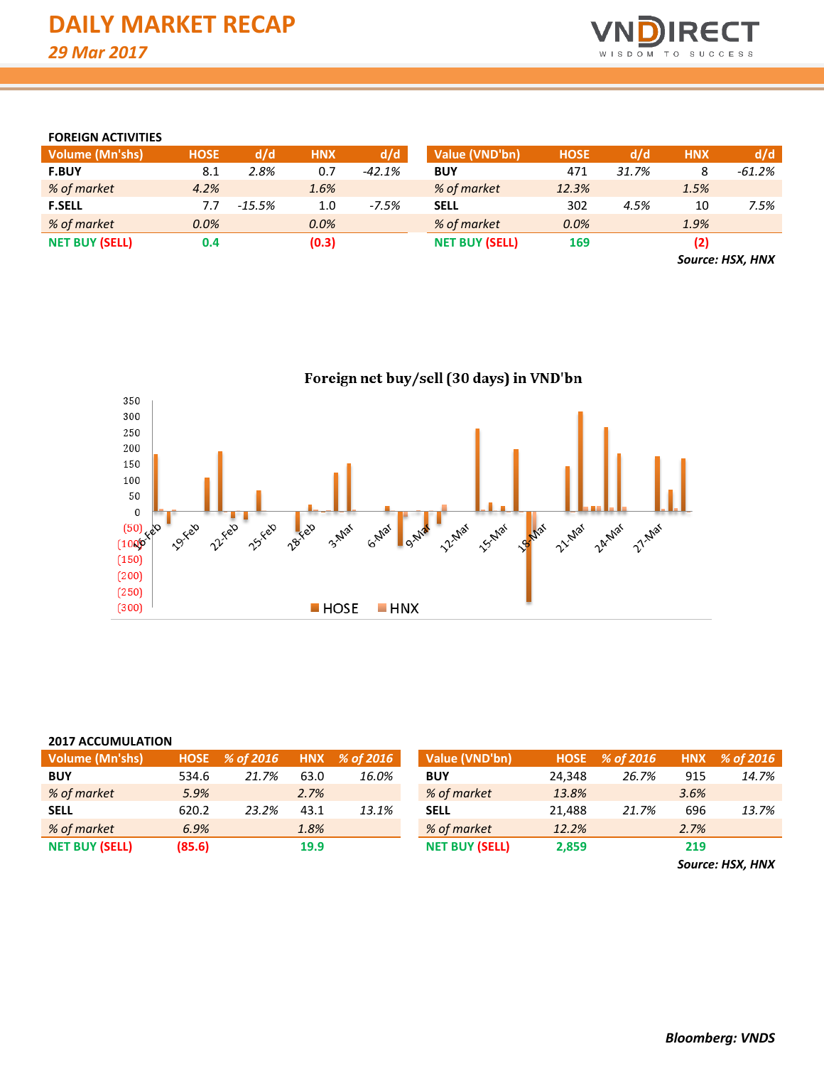

# **FOREIGN ACTIVITIES**

| <b>Volume (Mn'shs)</b> | <b>HOSE</b> | d/d       | <b>HNX</b> | d/d      | Value (VND'bn)        | <b>HOSE</b> | d/d   | <b>HNX</b> | d/d       |
|------------------------|-------------|-----------|------------|----------|-----------------------|-------------|-------|------------|-----------|
| <b>F.BUY</b>           | 8.1         | 2.8%      | 0.7        | $-42.1%$ | <b>BUY</b>            | 471         | 31.7% |            | $-61.2\%$ |
| % of market            | 4.2%        |           | 1.6%       |          | % of market           | 12.3%       |       | 1.5%       |           |
| <b>F.SELL</b>          | 7.7         | $-15.5\%$ | 1.0        | $-7.5%$  | <b>SELL</b>           | 302         | 4.5%  | 10         | 7.5%      |
| % of market            | 0.0%        |           | 0.0%       |          | % of market           | 0.0%        |       | 1.9%       |           |
| <b>NET BUY (SELL)</b>  | 0.4         |           | (0.3)      |          | <b>NET BUY (SELL)</b> | 169         |       | (2)        |           |
|                        |             |           |            |          |                       |             |       |            |           |

*Source: HSX, HNX*

Foreign net buy/sell (30 days) in VND'bn 350 300 250 200 150 100 50 **VIVER PARK Partidos Altarat**  $\pmb{0}$ **Parketo Assided** 28-Yeld 3-Max G-Max 21-Max 24-Max 27-Max  $(50)$ <sub>5</sub><br> $(100)$ <sup>5</sup><br> $(150)$ **OVAR**  $(150)$  $(200)$  $(250)$  $(300)$ **HOSE**  $HNX$ 

#### **2017 ACCUMULATION**

| Volume (Mn'shs)       | HOSE <sup>1</sup> | % of 2016 |      | HNX % of 2016 | Value (VND'bn)        | <b>HOSE</b> | % of 2016 |      | HNX % of 2016 |
|-----------------------|-------------------|-----------|------|---------------|-----------------------|-------------|-----------|------|---------------|
| <b>BUY</b>            | 534.6             | 21.7%     | 63.0 | 16.0%         | <b>BUY</b>            | 24.348      | 26.7%     | 915  | 14.7%         |
| % of market           | 5.9%              |           | 2.7% |               | % of market           | 13.8%       |           | 3.6% |               |
| <b>SELL</b>           | 620.2             | 23.2%     | 43.1 | 13.1%         | <b>SELL</b>           | 21.488      | 21.7%     | 696  | 13.7%         |
| % of market           | 6.9%              |           | 1.8% |               | % of market           | 12.2%       |           | 2.7% |               |
| <b>NET BUY (SELL)</b> | (85.6)            |           | 19.9 |               | <b>NET BUY (SELL)</b> | 2,859       |           | 219  |               |

*Source: HSX, HNX*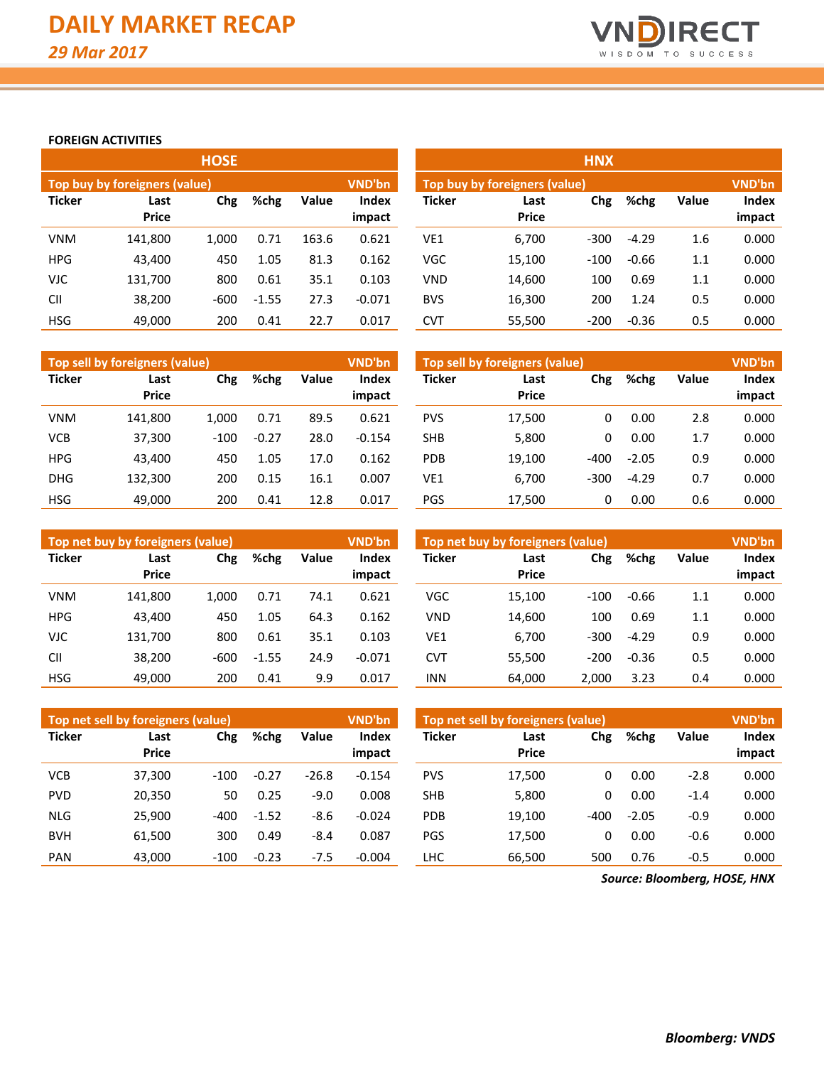

# **FOREIGN ACTIVITIES**

|               |                               | <b>HOSE</b> |         |       |                 | <b>HNX</b>    |                               |        |         |       |                 |  |  |  |
|---------------|-------------------------------|-------------|---------|-------|-----------------|---------------|-------------------------------|--------|---------|-------|-----------------|--|--|--|
|               | Top buy by foreigners (value) |             |         |       | VND'bn          |               | Top buy by foreigners (value) |        |         |       |                 |  |  |  |
| <b>Ticker</b> | Last<br><b>Price</b>          | Chg         | %chg    | Value | Index<br>impact | <b>Ticker</b> | Last<br><b>Price</b>          | Chg    | %chg    | Value | Index<br>impact |  |  |  |
| <b>VNM</b>    | 141,800                       | 1.000       | 0.71    | 163.6 | 0.621           | VE1           | 6,700                         | $-300$ | $-4.29$ | 1.6   | 0.000           |  |  |  |
| <b>HPG</b>    | 43,400                        | 450         | 1.05    | 81.3  | 0.162           | <b>VGC</b>    | 15,100                        | $-100$ | $-0.66$ | 1.1   | 0.000           |  |  |  |
| <b>VJC</b>    | 131,700                       | 800         | 0.61    | 35.1  | 0.103           | <b>VND</b>    | 14,600                        | 100    | 0.69    | 1.1   | 0.000           |  |  |  |
| <b>CII</b>    | 38,200                        | $-600$      | $-1.55$ | 27.3  | $-0.071$        | <b>BVS</b>    | 16,300                        | 200    | 1.24    | 0.5   | 0.000           |  |  |  |
| <b>HSG</b>    | 49,000                        | 200         | 0.41    | 22.7  | 0.017           | CVT           | 55,500                        | $-200$ | $-0.36$ | 0.5   | 0.000           |  |  |  |

|               | Top sell by foreigners (value) |        |         |       | <b>VND'bn</b>   | Top sell by foreigners (value) |                      |        |         |              |                 |  |
|---------------|--------------------------------|--------|---------|-------|-----------------|--------------------------------|----------------------|--------|---------|--------------|-----------------|--|
| <b>Ticker</b> | Last<br><b>Price</b>           | Chg    | %chg    | Value | Index<br>impact | Ticker                         | Last<br><b>Price</b> | Chg    | %chg    | <b>Value</b> | Index<br>impact |  |
|               |                                |        |         |       |                 |                                |                      |        |         |              |                 |  |
| <b>VNM</b>    | 141.800                        | 1.000  | 0.71    | 89.5  | 0.621           | <b>PVS</b>                     | 17,500               | 0      | 0.00    | 2.8          | 0.000           |  |
| <b>VCB</b>    | 37.300                         | $-100$ | $-0.27$ | 28.0  | $-0.154$        | <b>SHB</b>                     | 5,800                | 0      | 0.00    | 1.7          | 0.000           |  |
| <b>HPG</b>    | 43.400                         | 450    | 1.05    | 17.0  | 0.162           | PDB                            | 19,100               | $-400$ | $-2.05$ | 0.9          | 0.000           |  |
| <b>DHG</b>    | 132.300                        | 200    | 0.15    | 16.1  | 0.007           | VE1                            | 6,700                | $-300$ | $-4.29$ | 0.7          | 0.000           |  |
| <b>HSG</b>    | 49.000                         | 200    | 0.41    | 12.8  | 0.017           | PGS                            | 17.500               | 0      | 0.00    | 0.6          | 0.000           |  |

|               | Top net buy by foreigners (value) |        |         |       | <b>VND'bn</b>          | Top net buy by foreigners (value) |                      | <b>VND'bn</b> |         |              |                 |
|---------------|-----------------------------------|--------|---------|-------|------------------------|-----------------------------------|----------------------|---------------|---------|--------------|-----------------|
| <b>Ticker</b> | Last<br><b>Price</b>              | Chg    | %chg    | Value | <b>Index</b><br>impact | <b>Ticker</b>                     | Last<br><b>Price</b> | Chg           | %chg    | <b>Value</b> | Index<br>impact |
| <b>VNM</b>    | 141.800                           | 1.000  | 0.71    | 74.1  | 0.621                  | VGC                               | 15,100               | $-100$        | $-0.66$ | 1.1          | 0.000           |
| <b>HPG</b>    | 43.400                            | 450    | 1.05    | 64.3  | 0.162                  | <b>VND</b>                        | 14,600               | 100           | 0.69    | $1.1\,$      | 0.000           |
| <b>VJC</b>    | 131.700                           | 800    | 0.61    | 35.1  | 0.103                  | VE1                               | 6,700                | $-300$        | $-4.29$ | 0.9          | 0.000           |
| <b>CII</b>    | 38,200                            | $-600$ | $-1.55$ | 24.9  | $-0.071$               | <b>CVT</b>                        | 55.500               | $-200$        | $-0.36$ | 0.5          | 0.000           |
| <b>HSG</b>    | 49,000                            | 200    | 0.41    | 9.9   | 0.017                  | <b>INN</b>                        | 64,000               | 2.000         | 3.23    | 0.4          | 0.000           |

|               | Top net sell by foreigners (value) |        |         |         | <b>VND'bn</b>   |            | Top net sell by foreigners (value) |        |         |              |                 |  |
|---------------|------------------------------------|--------|---------|---------|-----------------|------------|------------------------------------|--------|---------|--------------|-----------------|--|
| <b>Ticker</b> | Last<br><b>Price</b>               | Chg    | %chg    | Value   | Index<br>impact | Ticker     | Last<br><b>Price</b>               | Chg    | %chg    | <b>Value</b> | Index<br>impact |  |
|               |                                    |        |         |         |                 |            |                                    |        |         |              |                 |  |
| <b>VCB</b>    | 37,300                             | $-100$ | $-0.27$ | $-26.8$ | $-0.154$        | <b>PVS</b> | 17,500                             | 0      | 0.00    | $-2.8$       | 0.000           |  |
| <b>PVD</b>    | 20,350                             | 50     | 0.25    | $-9.0$  | 0.008           | <b>SHB</b> | 5,800                              | 0      | 0.00    | $-1.4$       | 0.000           |  |
| <b>NLG</b>    | 25,900                             | $-400$ | $-1.52$ | $-8.6$  | $-0.024$        | PDB        | 19,100                             | $-400$ | $-2.05$ | $-0.9$       | 0.000           |  |
| <b>BVH</b>    | 61.500                             | 300    | 0.49    | $-8.4$  | 0.087           | PGS        | 17.500                             | 0      | 0.00    | $-0.6$       | 0.000           |  |
| <b>PAN</b>    | 43.000                             | $-100$ | $-0.23$ | $-7.5$  | $-0.004$        | LHC        | 66.500                             | 500    | 0.76    | $-0.5$       | 0.000           |  |

*Source: Bloomberg, HOSE, HNX*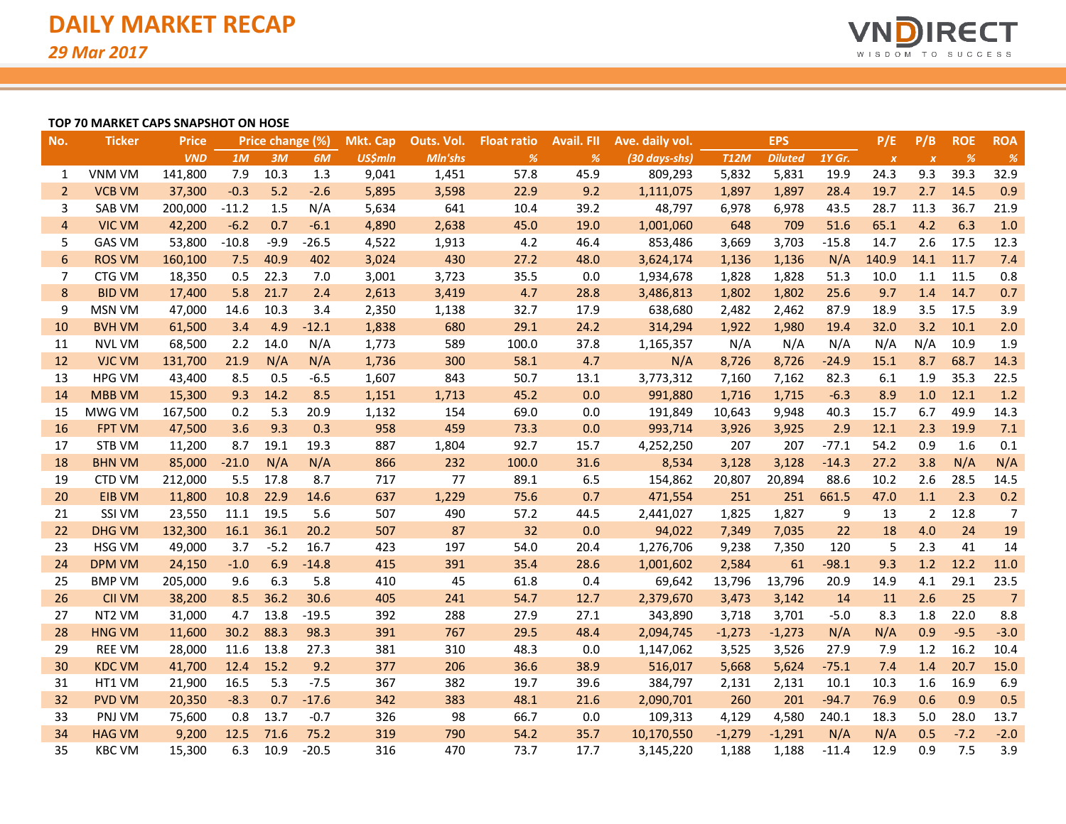

### **TOP 70 MARKET CAPS SNAPSHOT ON HOSE**

| No.            | <b>Ticker</b> | <b>Price</b> |         | Price change (%) |         | <b>Mkt. Cap</b> | Outs. Vol. | <b>Float ratio</b> | <b>Avail. FII</b> | Ave. daily vol. |             | <b>EPS</b>     |         | P/E              | P/B              | <b>ROE</b> | <b>ROA</b>     |
|----------------|---------------|--------------|---------|------------------|---------|-----------------|------------|--------------------|-------------------|-----------------|-------------|----------------|---------|------------------|------------------|------------|----------------|
|                |               | <b>VND</b>   | 1M      | 3M               | 6M      | <b>US\$mln</b>  | Mln'shs    | $\%$               | %                 | (30 days-shs)   | <b>T12M</b> | <b>Diluted</b> | 1Y Gr.  | $\boldsymbol{X}$ | $\boldsymbol{x}$ | %          | $\%$           |
| 1              | <b>VNM VM</b> | 141,800      | 7.9     | 10.3             | 1.3     | 9,041           | 1,451      | 57.8               | 45.9              | 809,293         | 5,832       | 5,831          | 19.9    | 24.3             | 9.3              | 39.3       | 32.9           |
| $\overline{2}$ | <b>VCB VM</b> | 37,300       | $-0.3$  | 5.2              | $-2.6$  | 5,895           | 3,598      | 22.9               | 9.2               | 1,111,075       | 1,897       | 1,897          | 28.4    | 19.7             | 2.7              | 14.5       | 0.9            |
| 3              | SAB VM        | 200,000      | $-11.2$ | 1.5              | N/A     | 5,634           | 641        | 10.4               | 39.2              | 48,797          | 6,978       | 6,978          | 43.5    | 28.7             | 11.3             | 36.7       | 21.9           |
| $\overline{4}$ | <b>VIC VM</b> | 42,200       | $-6.2$  | 0.7              | $-6.1$  | 4,890           | 2,638      | 45.0               | 19.0              | 1,001,060       | 648         | 709            | 51.6    | 65.1             | 4.2              | 6.3        | 1.0            |
| 5              | <b>GAS VM</b> | 53,800       | $-10.8$ | $-9.9$           | $-26.5$ | 4,522           | 1,913      | 4.2                | 46.4              | 853,486         | 3,669       | 3,703          | $-15.8$ | 14.7             | 2.6              | 17.5       | 12.3           |
| 6              | <b>ROS VM</b> | 160,100      | 7.5     | 40.9             | 402     | 3,024           | 430        | 27.2               | 48.0              | 3,624,174       | 1,136       | 1,136          | N/A     | 140.9            | 14.1             | 11.7       | 7.4            |
| $\overline{7}$ | CTG VM        | 18,350       | 0.5     | 22.3             | 7.0     | 3,001           | 3,723      | 35.5               | 0.0               | 1,934,678       | 1,828       | 1,828          | 51.3    | 10.0             | 1.1              | 11.5       | 0.8            |
| $\bf 8$        | <b>BID VM</b> | 17,400       | 5.8     | 21.7             | 2.4     | 2,613           | 3,419      | 4.7                | 28.8              | 3,486,813       | 1,802       | 1,802          | 25.6    | 9.7              | 1.4              | 14.7       | 0.7            |
| 9              | <b>MSN VM</b> | 47,000       | 14.6    | 10.3             | 3.4     | 2,350           | 1,138      | 32.7               | 17.9              | 638,680         | 2,482       | 2,462          | 87.9    | 18.9             | 3.5              | 17.5       | 3.9            |
| 10             | <b>BVH VM</b> | 61,500       | 3.4     | 4.9              | $-12.1$ | 1,838           | 680        | 29.1               | 24.2              | 314,294         | 1,922       | 1,980          | 19.4    | 32.0             | 3.2              | 10.1       | 2.0            |
| 11             | <b>NVL VM</b> | 68,500       | 2.2     | 14.0             | N/A     | 1,773           | 589        | 100.0              | 37.8              | 1,165,357       | N/A         | N/A            | N/A     | N/A              | N/A              | 10.9       | 1.9            |
| 12             | <b>VJC VM</b> | 131,700      | 21.9    | N/A              | N/A     | 1,736           | 300        | 58.1               | 4.7               | N/A             | 8,726       | 8,726          | $-24.9$ | 15.1             | 8.7              | 68.7       | 14.3           |
| 13             | <b>HPG VM</b> | 43,400       | 8.5     | 0.5              | $-6.5$  | 1,607           | 843        | 50.7               | 13.1              | 3,773,312       | 7,160       | 7,162          | 82.3    | 6.1              | 1.9              | 35.3       | 22.5           |
| 14             | <b>MBB VM</b> | 15,300       | 9.3     | 14.2             | 8.5     | 1,151           | 1,713      | 45.2               | 0.0               | 991,880         | 1,716       | 1,715          | $-6.3$  | 8.9              | 1.0              | 12.1       | 1.2            |
| 15             | MWG VM        | 167,500      | 0.2     | 5.3              | 20.9    | 1,132           | 154        | 69.0               | 0.0               | 191,849         | 10,643      | 9,948          | 40.3    | 15.7             | 6.7              | 49.9       | 14.3           |
| 16             | <b>FPT VM</b> | 47,500       | 3.6     | 9.3              | 0.3     | 958             | 459        | 73.3               | 0.0               | 993,714         | 3,926       | 3,925          | 2.9     | 12.1             | 2.3              | 19.9       | 7.1            |
| 17             | STB VM        | 11,200       | 8.7     | 19.1             | 19.3    | 887             | 1,804      | 92.7               | 15.7              | 4,252,250       | 207         | 207            | $-77.1$ | 54.2             | 0.9              | 1.6        | 0.1            |
| 18             | <b>BHN VM</b> | 85,000       | $-21.0$ | N/A              | N/A     | 866             | 232        | 100.0              | 31.6              | 8,534           | 3,128       | 3,128          | $-14.3$ | 27.2             | 3.8              | N/A        | N/A            |
| 19             | <b>CTD VM</b> | 212,000      | 5.5     | 17.8             | 8.7     | 717             | 77         | 89.1               | 6.5               | 154,862         | 20,807      | 20,894         | 88.6    | 10.2             | 2.6              | 28.5       | 14.5           |
| 20             | EIB VM        | 11,800       | 10.8    | 22.9             | 14.6    | 637             | 1,229      | 75.6               | 0.7               | 471,554         | 251         | 251            | 661.5   | 47.0             | 1.1              | 2.3        | 0.2            |
| 21             | SSI VM        | 23,550       | 11.1    | 19.5             | 5.6     | 507             | 490        | 57.2               | 44.5              | 2,441,027       | 1,825       | 1,827          | 9       | 13               | $\overline{2}$   | 12.8       | $\overline{7}$ |
| 22             | <b>DHG VM</b> | 132,300      | 16.1    | 36.1             | 20.2    | 507             | 87         | 32                 | 0.0               | 94,022          | 7,349       | 7,035          | 22      | 18               | 4.0              | 24         | 19             |
| 23             | <b>HSG VM</b> | 49,000       | 3.7     | $-5.2$           | 16.7    | 423             | 197        | 54.0               | 20.4              | 1,276,706       | 9,238       | 7,350          | 120     | 5                | 2.3              | 41         | 14             |
| 24             | <b>DPM VM</b> | 24,150       | $-1.0$  | 6.9              | $-14.8$ | 415             | 391        | 35.4               | 28.6              | 1,001,602       | 2,584       | 61             | $-98.1$ | 9.3              | 1.2              | 12.2       | 11.0           |
| 25             | <b>BMP VM</b> | 205,000      | 9.6     | 6.3              | 5.8     | 410             | 45         | 61.8               | 0.4               | 69,642          | 13,796      | 13,796         | 20.9    | 14.9             | 4.1              | 29.1       | 23.5           |
| 26             | <b>CII VM</b> | 38,200       | 8.5     | 36.2             | 30.6    | 405             | 241        | 54.7               | 12.7              | 2,379,670       | 3,473       | 3,142          | 14      | 11               | 2.6              | 25         | $\overline{7}$ |
| 27             | NT2 VM        | 31,000       | 4.7     | 13.8             | $-19.5$ | 392             | 288        | 27.9               | 27.1              | 343,890         | 3,718       | 3,701          | $-5.0$  | 8.3              | 1.8              | 22.0       | 8.8            |
| 28             | <b>HNG VM</b> | 11,600       | 30.2    | 88.3             | 98.3    | 391             | 767        | 29.5               | 48.4              | 2,094,745       | $-1,273$    | $-1,273$       | N/A     | N/A              | 0.9              | $-9.5$     | $-3.0$         |
| 29             | <b>REE VM</b> | 28,000       | 11.6    | 13.8             | 27.3    | 381             | 310        | 48.3               | 0.0               | 1,147,062       | 3,525       | 3,526          | 27.9    | 7.9              | 1.2              | 16.2       | 10.4           |
| 30             | <b>KDC VM</b> | 41,700       | 12.4    | 15.2             | 9.2     | 377             | 206        | 36.6               | 38.9              | 516,017         | 5,668       | 5,624          | $-75.1$ | 7.4              | 1.4              | 20.7       | 15.0           |
| 31             | HT1 VM        | 21,900       | 16.5    | 5.3              | $-7.5$  | 367             | 382        | 19.7               | 39.6              | 384,797         | 2,131       | 2,131          | 10.1    | 10.3             | 1.6              | 16.9       | 6.9            |
| 32             | <b>PVD VM</b> | 20,350       | $-8.3$  | 0.7              | $-17.6$ | 342             | 383        | 48.1               | 21.6              | 2,090,701       | 260         | 201            | $-94.7$ | 76.9             | 0.6              | 0.9        | 0.5            |
| 33             | PNJ VM        | 75,600       | 0.8     | 13.7             | $-0.7$  | 326             | 98         | 66.7               | 0.0               | 109,313         | 4,129       | 4,580          | 240.1   | 18.3             | 5.0              | 28.0       | 13.7           |
| 34             | <b>HAG VM</b> | 9,200        | 12.5    | 71.6             | 75.2    | 319             | 790        | 54.2               | 35.7              | 10,170,550      | $-1,279$    | $-1,291$       | N/A     | N/A              | 0.5              | $-7.2$     | $-2.0$         |
| 35             | <b>KBC VM</b> | 15,300       | 6.3     | 10.9             | $-20.5$ | 316             | 470        | 73.7               | 17.7              | 3,145,220       | 1,188       | 1,188          | $-11.4$ | 12.9             | 0.9              | 7.5        | 3.9            |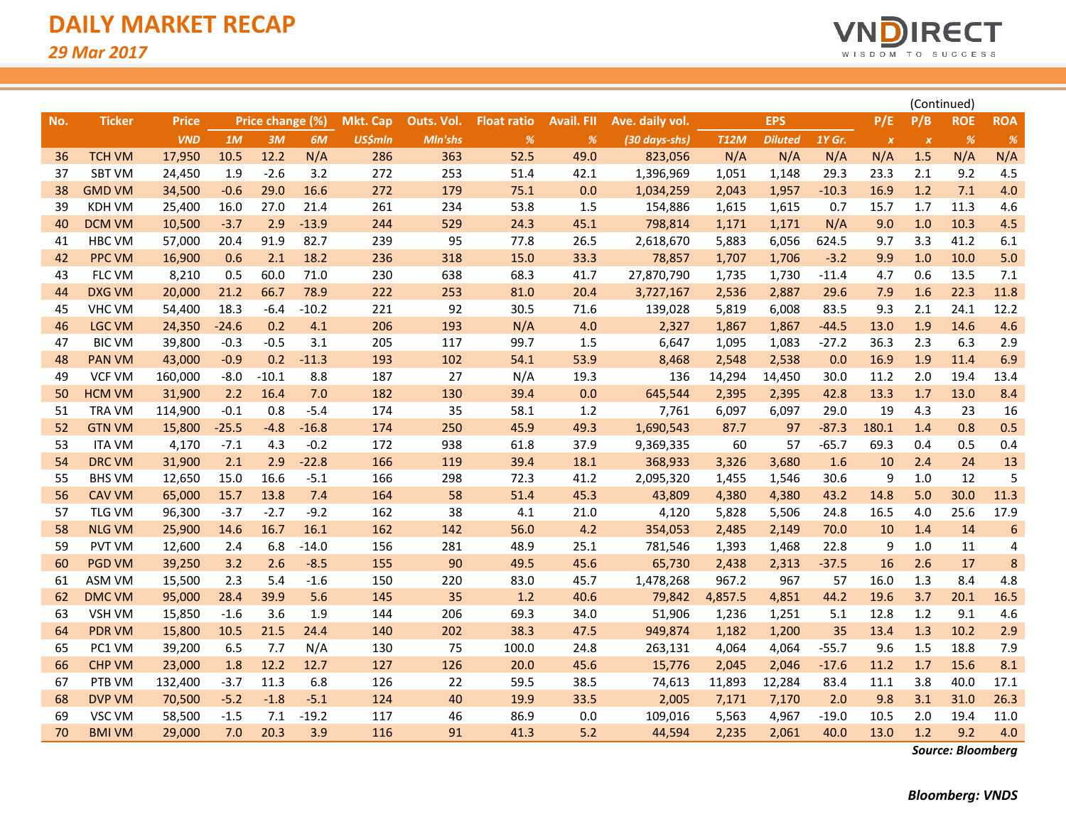

|     |               |              |         |                  |         |                 |            |                    |                   |                 |             | (Continued)    |         |                  |                           |                                       |            |
|-----|---------------|--------------|---------|------------------|---------|-----------------|------------|--------------------|-------------------|-----------------|-------------|----------------|---------|------------------|---------------------------|---------------------------------------|------------|
| No. | <b>Ticker</b> | <b>Price</b> |         | Price change (%) |         | <b>Mkt. Cap</b> | Outs. Vol. | <b>Float ratio</b> | <b>Avail. FII</b> | Ave. daily vol. |             | <b>EPS</b>     |         | P/E              | P/B                       | <b>ROE</b>                            | <b>ROA</b> |
|     |               | <b>VND</b>   | 1M      | 3M               | 6M      | <b>US\$mln</b>  | Mln'shs    | $\%$               | $\%$              | (30 days-shs)   | <b>T12M</b> | <b>Diluted</b> | 1Y Gr.  | $\boldsymbol{x}$ | $\boldsymbol{\mathsf{x}}$ | $% \mathcal{A}=\mathcal{A}^{\prime }$ | %          |
| 36  | <b>TCH VM</b> | 17,950       | 10.5    | 12.2             | N/A     | 286             | 363        | 52.5               | 49.0              | 823,056         | N/A         | N/A            | N/A     | N/A              | 1.5                       | N/A                                   | N/A        |
| 37  | <b>SBT VM</b> | 24,450       | 1.9     | $-2.6$           | 3.2     | 272             | 253        | 51.4               | 42.1              | 1,396,969       | 1,051       | 1,148          | 29.3    | 23.3             | 2.1                       | 9.2                                   | 4.5        |
| 38  | <b>GMD VM</b> | 34,500       | $-0.6$  | 29.0             | 16.6    | 272             | 179        | 75.1               | 0.0               | 1,034,259       | 2,043       | 1,957          | $-10.3$ | 16.9             | 1.2                       | 7.1                                   | 4.0        |
| 39  | <b>KDH VM</b> | 25,400       | 16.0    | 27.0             | 21.4    | 261             | 234        | 53.8               | 1.5               | 154,886         | 1,615       | 1,615          | 0.7     | 15.7             | 1.7                       | 11.3                                  | 4.6        |
| 40  | <b>DCM VM</b> | 10,500       | $-3.7$  | 2.9              | $-13.9$ | 244             | 529        | 24.3               | 45.1              | 798,814         | 1,171       | 1,171          | N/A     | 9.0              | 1.0                       | 10.3                                  | 4.5        |
| 41  | HBC VM        | 57,000       | 20.4    | 91.9             | 82.7    | 239             | 95         | 77.8               | 26.5              | 2,618,670       | 5,883       | 6,056          | 624.5   | 9.7              | 3.3                       | 41.2                                  | 6.1        |
| 42  | <b>PPC VM</b> | 16,900       | 0.6     | 2.1              | 18.2    | 236             | 318        | 15.0               | 33.3              | 78,857          | 1,707       | 1,706          | $-3.2$  | 9.9              | 1.0                       | 10.0                                  | 5.0        |
| 43  | FLC VM        | 8,210        | 0.5     | 60.0             | 71.0    | 230             | 638        | 68.3               | 41.7              | 27,870,790      | 1,735       | 1,730          | $-11.4$ | 4.7              | 0.6                       | 13.5                                  | 7.1        |
| 44  | <b>DXG VM</b> | 20,000       | 21.2    | 66.7             | 78.9    | 222             | 253        | 81.0               | 20.4              | 3,727,167       | 2,536       | 2,887          | 29.6    | 7.9              | 1.6                       | 22.3                                  | 11.8       |
| 45  | <b>VHC VM</b> | 54,400       | 18.3    | $-6.4$           | $-10.2$ | 221             | 92         | 30.5               | 71.6              | 139,028         | 5,819       | 6,008          | 83.5    | 9.3              | 2.1                       | 24.1                                  | 12.2       |
| 46  | <b>LGC VM</b> | 24,350       | $-24.6$ | 0.2              | 4.1     | 206             | 193        | N/A                | 4.0               | 2,327           | 1,867       | 1,867          | $-44.5$ | 13.0             | 1.9                       | 14.6                                  | 4.6        |
| 47  | <b>BIC VM</b> | 39,800       | $-0.3$  | $-0.5$           | 3.1     | 205             | 117        | 99.7               | 1.5               | 6,647           | 1,095       | 1,083          | -27.2   | 36.3             | 2.3                       | 6.3                                   | 2.9        |
| 48  | <b>PAN VM</b> | 43,000       | $-0.9$  | 0.2              | $-11.3$ | 193             | 102        | 54.1               | 53.9              | 8,468           | 2,548       | 2,538          | 0.0     | 16.9             | 1.9                       | 11.4                                  | 6.9        |
| 49  | <b>VCF VM</b> | 160,000      | $-8.0$  | $-10.1$          | 8.8     | 187             | 27         | N/A                | 19.3              | 136             | 14,294      | 14,450         | 30.0    | 11.2             | 2.0                       | 19.4                                  | 13.4       |
| 50  | <b>HCM VM</b> | 31,900       | 2.2     | 16.4             | 7.0     | 182             | 130        | 39.4               | 0.0               | 645,544         | 2,395       | 2,395          | 42.8    | 13.3             | 1.7                       | 13.0                                  | 8.4        |
| 51  | <b>TRA VM</b> | 114,900      | $-0.1$  | 0.8              | $-5.4$  | 174             | 35         | 58.1               | 1.2               | 7,761           | 6,097       | 6,097          | 29.0    | 19               | 4.3                       | 23                                    | 16         |
| 52  | <b>GTN VM</b> | 15,800       | $-25.5$ | $-4.8$           | $-16.8$ | 174             | 250        | 45.9               | 49.3              | 1,690,543       | 87.7        | 97             | $-87.3$ | 180.1            | 1.4                       | 0.8                                   | 0.5        |
| 53  | <b>ITA VM</b> | 4,170        | $-7.1$  | 4.3              | $-0.2$  | 172             | 938        | 61.8               | 37.9              | 9,369,335       | 60          | 57             | $-65.7$ | 69.3             | 0.4                       | 0.5                                   | 0.4        |
| 54  | <b>DRC VM</b> | 31,900       | 2.1     | 2.9              | $-22.8$ | 166             | 119        | 39.4               | 18.1              | 368,933         | 3,326       | 3,680          | 1.6     | 10               | 2.4                       | 24                                    | 13         |
| 55  | <b>BHS VM</b> | 12,650       | 15.0    | 16.6             | $-5.1$  | 166             | 298        | 72.3               | 41.2              | 2,095,320       | 1,455       | 1,546          | 30.6    | 9                | 1.0                       | 12                                    | 5          |
| 56  | <b>CAV VM</b> | 65,000       | 15.7    | 13.8             | 7.4     | 164             | 58         | 51.4               | 45.3              | 43,809          | 4,380       | 4,380          | 43.2    | 14.8             | 5.0                       | 30.0                                  | 11.3       |
| 57  | <b>TLG VM</b> | 96,300       | $-3.7$  | $-2.7$           | $-9.2$  | 162             | 38         | 4.1                | 21.0              | 4,120           | 5,828       | 5,506          | 24.8    | 16.5             | 4.0                       | 25.6                                  | 17.9       |
| 58  | <b>NLG VM</b> | 25,900       | 14.6    | 16.7             | 16.1    | 162             | 142        | 56.0               | 4.2               | 354,053         | 2,485       | 2,149          | 70.0    | 10               | 1.4                       | 14                                    | 6          |
| 59  | <b>PVT VM</b> | 12,600       | 2.4     | 6.8              | $-14.0$ | 156             | 281        | 48.9               | 25.1              | 781,546         | 1,393       | 1,468          | 22.8    | 9                | 1.0                       | 11                                    | 4          |
| 60  | <b>PGD VM</b> | 39,250       | 3.2     | 2.6              | $-8.5$  | 155             | 90         | 49.5               | 45.6              | 65,730          | 2,438       | 2,313          | $-37.5$ | 16               | 2.6                       | 17                                    | 8          |
| 61  | <b>ASM VM</b> | 15,500       | 2.3     | 5.4              | $-1.6$  | 150             | 220        | 83.0               | 45.7              | 1,478,268       | 967.2       | 967            | 57      | 16.0             | 1.3                       | 8.4                                   | 4.8        |
| 62  | DMC VM        | 95,000       | 28.4    | 39.9             | 5.6     | 145             | 35         | 1.2                | 40.6              | 79,842          | 4,857.5     | 4,851          | 44.2    | 19.6             | 3.7                       | 20.1                                  | 16.5       |
| 63  | <b>VSH VM</b> | 15,850       | $-1.6$  | 3.6              | 1.9     | 144             | 206        | 69.3               | 34.0              | 51,906          | 1,236       | 1,251          | 5.1     | 12.8             | 1.2                       | 9.1                                   | 4.6        |
| 64  | <b>PDR VM</b> | 15,800       | 10.5    | 21.5             | 24.4    | 140             | 202        | 38.3               | 47.5              | 949,874         | 1,182       | 1,200          | 35      | 13.4             | 1.3                       | 10.2                                  | 2.9        |
| 65  | PC1 VM        | 39,200       | 6.5     | 7.7              | N/A     | 130             | 75         | 100.0              | 24.8              | 263,131         | 4,064       | 4,064          | $-55.7$ | 9.6              | 1.5                       | 18.8                                  | 7.9        |
| 66  | <b>CHP VM</b> | 23,000       | 1.8     | 12.2             | 12.7    | 127             | 126        | 20.0               | 45.6              | 15,776          | 2,045       | 2,046          | $-17.6$ | 11.2             | 1.7                       | 15.6                                  | 8.1        |
| 67  | PTB VM        | 132,400      | $-3.7$  | 11.3             | 6.8     | 126             | 22         | 59.5               | 38.5              | 74,613          | 11,893      | 12,284         | 83.4    | 11.1             | 3.8                       | 40.0                                  | 17.1       |
| 68  | <b>DVP VM</b> | 70,500       | $-5.2$  | $-1.8$           | $-5.1$  | 124             | 40         | 19.9               | 33.5              | 2,005           | 7,171       | 7,170          | 2.0     | 9.8              | 3.1                       | 31.0                                  | 26.3       |
| 69  | VSC VM        | 58,500       | $-1.5$  | 7.1              | $-19.2$ | 117             | 46         | 86.9               | 0.0               | 109,016         | 5,563       | 4,967          | $-19.0$ | 10.5             | 2.0                       | 19.4                                  | 11.0       |
| 70  | <b>BMI VM</b> | 29,000       | 7.0     | 20.3             | 3.9     | 116             | 91         | 41.3               | 5.2               | 44,594          | 2,235       | 2,061          | 40.0    | 13.0             | 1.2                       | 9.2                                   | 4.0        |

*Source: Bloomberg*